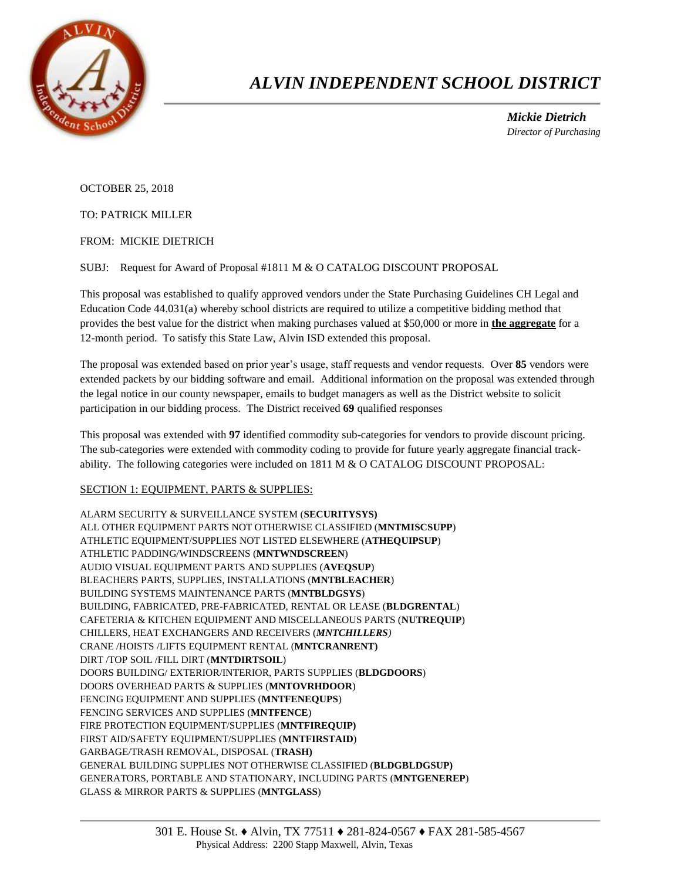

## *ALVIN INDEPENDENT SCHOOL DISTRICT*

 *Mickie Dietrich Director of Purchasing*

OCTOBER 25, 2018

TO: PATRICK MILLER

FROM: MICKIE DIETRICH

SUBJ: Request for Award of Proposal #1811 M & O CATALOG DISCOUNT PROPOSAL

This proposal was established to qualify approved vendors under the State Purchasing Guidelines CH Legal and Education Code 44.031(a) whereby school districts are required to utilize a competitive bidding method that provides the best value for the district when making purchases valued at \$50,000 or more in **the aggregate** for a 12-month period. To satisfy this State Law, Alvin ISD extended this proposal.

The proposal was extended based on prior year's usage, staff requests and vendor requests. Over **85** vendors were extended packets by our bidding software and email. Additional information on the proposal was extended through the legal notice in our county newspaper, emails to budget managers as well as the District website to solicit participation in our bidding process. The District received **69** qualified responses

This proposal was extended with **97** identified commodity sub-categories for vendors to provide discount pricing. The sub-categories were extended with commodity coding to provide for future yearly aggregate financial trackability. The following categories were included on 1811 M & O CATALOG DISCOUNT PROPOSAL:

## SECTION 1: EQUIPMENT, PARTS & SUPPLIES:

ALARM SECURITY & SURVEILLANCE SYSTEM (**SECURITYSYS)** ALL OTHER EQUIPMENT PARTS NOT OTHERWISE CLASSIFIED (**MNTMISCSUPP**) ATHLETIC EQUIPMENT/SUPPLIES NOT LISTED ELSEWHERE (**ATHEQUIPSUP**) ATHLETIC PADDING/WINDSCREENS (**MNTWNDSCREEN**) AUDIO VISUAL EQUIPMENT PARTS AND SUPPLIES (**AVEQSUP**) BLEACHERS PARTS, SUPPLIES, INSTALLATIONS (**MNTBLEACHER**) BUILDING SYSTEMS MAINTENANCE PARTS (**MNTBLDGSYS**) BUILDING, FABRICATED, PRE-FABRICATED, RENTAL OR LEASE (**BLDGRENTAL**) CAFETERIA & KITCHEN EQUIPMENT AND MISCELLANEOUS PARTS (**NUTREQUIP**) CHILLERS, HEAT EXCHANGERS AND RECEIVERS (*MNTCHILLERS)* CRANE /HOISTS /LIFTS EQUIPMENT RENTAL (**MNTCRANRENT)** DIRT /TOP SOIL /FILL DIRT (**MNTDIRTSOIL**) DOORS BUILDING/ EXTERIOR/INTERIOR, PARTS SUPPLIES (**BLDGDOORS**) DOORS OVERHEAD PARTS & SUPPLIES (**MNTOVRHDOOR**) FENCING EQUIPMENT AND SUPPLIES (**MNTFENEQUPS**) FENCING SERVICES AND SUPPLIES (**MNTFENCE**) FIRE PROTECTION EQUIPMENT/SUPPLIES (**MNTFIREQUIP)** FIRST AID/SAFETY EQUIPMENT/SUPPLIES (**MNTFIRSTAID**) GARBAGE/TRASH REMOVAL, DISPOSAL (**TRASH)** GENERAL BUILDING SUPPLIES NOT OTHERWISE CLASSIFIED (**BLDGBLDGSUP)** GENERATORS, PORTABLE AND STATIONARY, INCLUDING PARTS (**MNTGENEREP**) GLASS & MIRROR PARTS & SUPPLIES (**MNTGLASS**)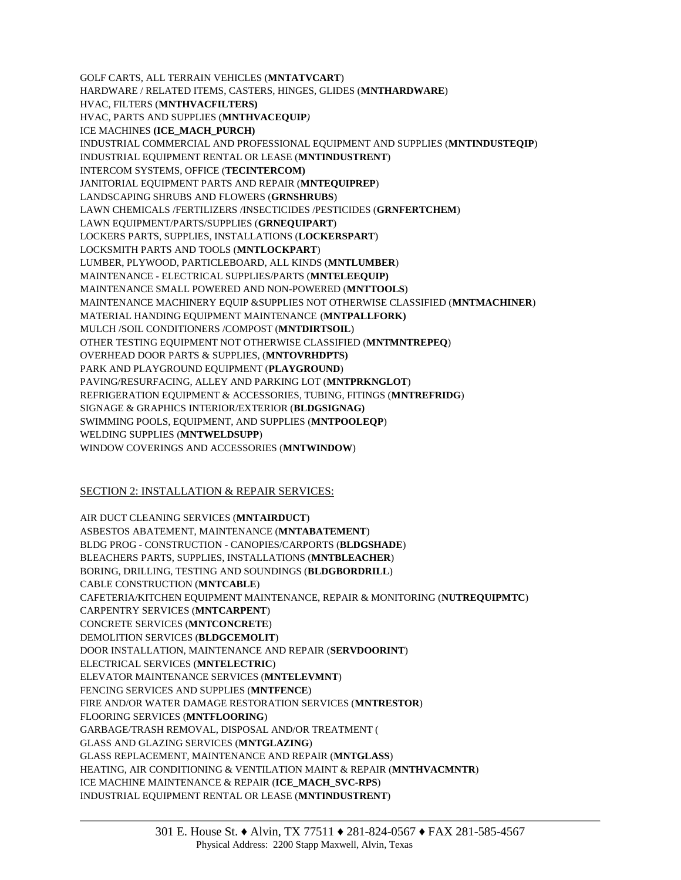GOLF CARTS, ALL TERRAIN VEHICLES (**MNTATVCART**) HARDWARE / RELATED ITEMS, CASTERS, HINGES, GLIDES (**MNTHARDWARE**) HVAC, FILTERS (**MNTHVACFILTERS)** HVAC, PARTS AND SUPPLIES (**MNTHVACEQUIP***)* ICE MACHINES **(ICE\_MACH\_PURCH)** INDUSTRIAL COMMERCIAL AND PROFESSIONAL EQUIPMENT AND SUPPLIES (**MNTINDUSTEQIP**) INDUSTRIAL EQUIPMENT RENTAL OR LEASE (**MNTINDUSTRENT**) INTERCOM SYSTEMS, OFFICE (**TECINTERCOM)** JANITORIAL EQUIPMENT PARTS AND REPAIR (**MNTEQUIPREP**) LANDSCAPING SHRUBS AND FLOWERS (**GRNSHRUBS**) LAWN CHEMICALS /FERTILIZERS /INSECTICIDES /PESTICIDES (**GRNFERTCHEM**) LAWN EQUIPMENT/PARTS/SUPPLIES (**GRNEQUIPART**) LOCKERS PARTS, SUPPLIES, INSTALLATIONS (**LOCKERSPART**) LOCKSMITH PARTS AND TOOLS (**MNTLOCKPART**) LUMBER, PLYWOOD, PARTICLEBOARD, ALL KINDS (**MNTLUMBER**) MAINTENANCE - ELECTRICAL SUPPLIES/PARTS (**MNTELEEQUIP)** MAINTENANCE SMALL POWERED AND NON-POWERED (**MNTTOOLS**) MAINTENANCE MACHINERY EQUIP &SUPPLIES NOT OTHERWISE CLASSIFIED (**MNTMACHINER**) MATERIAL HANDING EQUIPMENT MAINTENANCE (**MNTPALLFORK)** MULCH /SOIL CONDITIONERS /COMPOST (**MNTDIRTSOIL**) OTHER TESTING EQUIPMENT NOT OTHERWISE CLASSIFIED (**MNTMNTREPEQ**) OVERHEAD DOOR PARTS & SUPPLIES, (**MNTOVRHDPTS)** PARK AND PLAYGROUND EQUIPMENT (**PLAYGROUND**) PAVING/RESURFACING, ALLEY AND PARKING LOT (**MNTPRKNGLOT**) REFRIGERATION EQUIPMENT & ACCESSORIES, TUBING, FITINGS (**MNTREFRIDG**) SIGNAGE & GRAPHICS INTERIOR/EXTERIOR (**BLDGSIGNAG)** SWIMMING POOLS, EQUIPMENT, AND SUPPLIES (**MNTPOOLEQP**) WELDING SUPPLIES (**MNTWELDSUPP**) WINDOW COVERINGS AND ACCESSORIES (**MNTWINDOW**)

## SECTION 2: INSTALLATION & REPAIR SERVICES:

AIR DUCT CLEANING SERVICES (**MNTAIRDUCT**) ASBESTOS ABATEMENT, MAINTENANCE (**MNTABATEMENT**) BLDG PROG - CONSTRUCTION - CANOPIES/CARPORTS (**BLDGSHADE**) BLEACHERS PARTS, SUPPLIES, INSTALLATIONS (**MNTBLEACHER**) BORING, DRILLING, TESTING AND SOUNDINGS (**BLDGBORDRILL**) CABLE CONSTRUCTION (**MNTCABLE**) CAFETERIA/KITCHEN EQUIPMENT MAINTENANCE, REPAIR & MONITORING (**NUTREQUIPMTC**) CARPENTRY SERVICES (**MNTCARPENT**) CONCRETE SERVICES (**MNTCONCRETE**) DEMOLITION SERVICES (**BLDGCEMOLIT**) DOOR INSTALLATION, MAINTENANCE AND REPAIR (**SERVDOORINT**) ELECTRICAL SERVICES (**MNTELECTRIC**) ELEVATOR MAINTENANCE SERVICES (**MNTELEVMNT**) FENCING SERVICES AND SUPPLIES (**MNTFENCE**) FIRE AND/OR WATER DAMAGE RESTORATION SERVICES (**MNTRESTOR**) FLOORING SERVICES (**MNTFLOORING**) GARBAGE/TRASH REMOVAL, DISPOSAL AND/OR TREATMENT ( GLASS AND GLAZING SERVICES (**MNTGLAZING**) GLASS REPLACEMENT, MAINTENANCE AND REPAIR (**MNTGLASS**) HEATING, AIR CONDITIONING & VENTILATION MAINT & REPAIR (**MNTHVACMNTR**) ICE MACHINE MAINTENANCE & REPAIR (**ICE\_MACH\_SVC-RPS**) INDUSTRIAL EQUIPMENT RENTAL OR LEASE (**MNTINDUSTRENT**)